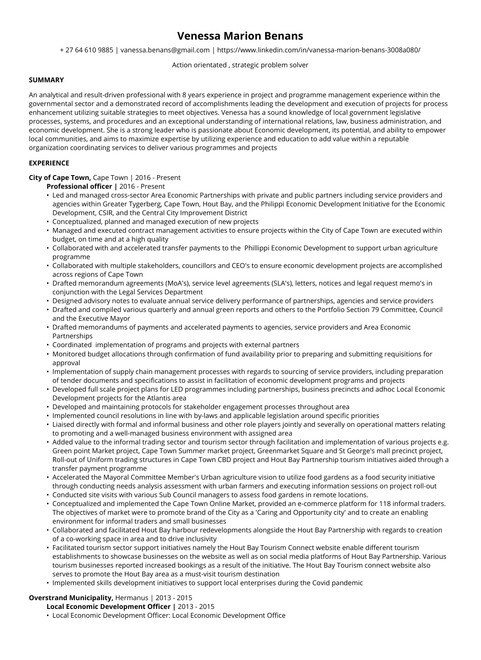# **Venessa Marion Benans**

+ 27 64 610 9885 | vanessa.benans@gmail.com | https://www.linkedin.com/in/vanessa-marion-benans-3008a080/

## Action orientated , strategic problem solver

## **SUMMARY**

An analytical and result-driven professional with 8 years experience in project and programme management experience within the governmental sector and a demonstrated record of accomplishments leading the development and execution of projects for process enhancement utilizing suitable strategies to meet objectives. Venessa has a sound knowledge of local government legislative processes, systems, and procedures and an exceptional understanding of international relations, law, business administration, and economic development. She is a strong leader who is passionate about Economic development, its potential, and ability to empower local communities, and aims to maximize expertise by utilizing experience and education to add value within a reputable organization coordinating services to deliver various programmes and projects

## **EXPERIENCE**

# **City of Cape Town,** Cape Town | 2016 - Present

- **Professional officer |** 2016 Present
- Led and managed cross-sector Area Economic Partnerships with private and public partners including service providers and agencies within Greater Tygerberg, Cape Town, Hout Bay, and the Philippi Economic Development Initiative for the Economic Development, CSIR, and the Central City Improvement District
- Conceptualized, planned and managed execution of new projects
- Managed and executed contract management activities to ensure projects within the City of Cape Town are executed within budget, on time and at a high quality
- Collaborated with and accelerated transfer payments to the Phillippi Economic Development to support urban agriculture programme
- Collaborated with multiple stakeholders, councillors and CEO's to ensure economic development projects are accomplished across regions of Cape Town
- Drafted memorandum agreements (MoA's), service level agreements (SLA's), letters, notices and legal request memo's in conjunction with the Legal Services Department
- Designed advisory notes to evaluate annual service delivery performance of partnerships, agencies and service providers
- Drafted and compiled various quarterly and annual green reports and others to the Portfolio Section 79 Committee, Council and the Executive Mayor
- Drafted memorandums of payments and accelerated payments to agencies, service providers and Area Economic Partnerships
- Coordinated implementation of programs and projects with external partners
- Monitored budget allocations through confirmation of fund availability prior to preparing and submitting requisitions for approval
- Implementation of supply chain management processes with regards to sourcing of service providers, including preparation of tender documents and specifications to assist in facilitation of economic development programs and projects
- Developed full scale project plans for LED programmes including partnerships, business precincts and adhoc Local Economic Development projects for the Atlantis area
- Developed and maintaining protocols for stakeholder engagement processes throughout area
- Implemented council resolutions in line with by-laws and applicable legislation around specific priorities
- Liaised directly with formal and informal business and other role players jointly and severally on operational matters relating to promoting and a well-managed business environment with assigned area
- Added value to the informal trading sector and tourism sector through facilitation and implementation of various projects e.g. Green point Market project, Cape Town Summer market project, Greenmarket Square and St George's mall precinct project, Roll-out of Uniform trading structures in Cape Town CBD project and Hout Bay Partnership tourism initiatives aided through a transfer payment programme
- Accelerated the Mayoral Committee Member's Urban agriculture vision to utilize food gardens as a food security initiative through conducting needs analysis assessment with urban farmers and executing information sessions on project roll-out
- Conducted site visits with various Sub Council managers to assess food gardens in remote locations.
- Conceptualized and implemented the Cape Town Online Market, provided an e-commerce platform for 118 informal traders. The objectives of market were to promote brand of the City as a 'Caring and Opportunity city' and to create an enabling environment for informal traders and small businesses
- Collaborated and facilitated Hout Bay harbour redevelopments alongside the Hout Bay Partnership with regards to creation of a co-working space in area and to drive inclusivity
- Facilitated tourism sector support initiatives namely the Hout Bay Tourism Connect website enable different tourism establishments to showcase businesses on the website as well as on social media platforms of Hout Bay Partnership. Various tourism businesses reported increased bookings as a result of the initiative. The Hout Bay Tourism connect website also serves to promote the Hout Bay area as a must-visit tourism destination
- Implemented skills development initiatives to support local enterprises during the Covid pandemic

## **Overstrand Municipality,** Hermanus | 2013 - 2015

**Local Economic Development Officer |** 2013 - 2015

• Local Economic Development Officer: Local Economic Development Office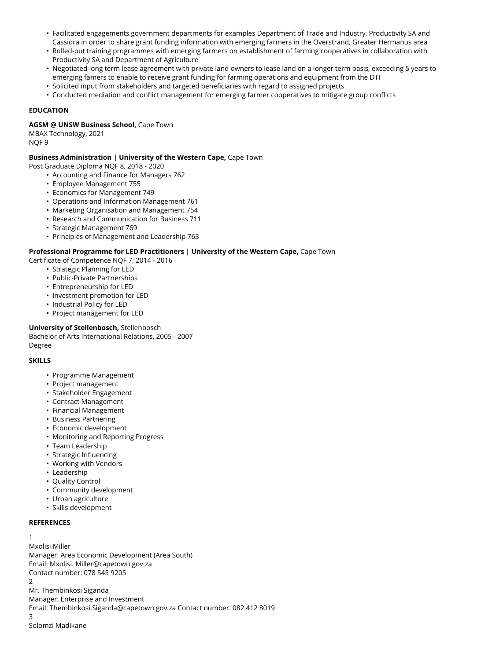- Facilitated engagements government departments for examples Department of Trade and Industry, Productivity SA and Cassidra in order to share grant funding information with emerging farmers in the Overstrand, Greater Hermanus area
- Rolled-out training programmes with emerging farmers on establishment of farming cooperatives in collaboration with Productivity SA and Department of Agriculture
- Negotiated long term lease agreement with private land owners to lease land on a longer term basis, exceeding 5 years to emerging famers to enable to receive grant funding for farming operations and equipment from the DTI
- Solicited input from stakeholders and targeted beneficiaries with regard to assigned projects
- Conducted mediation and conflict management for emerging farmer cooperatives to mitigate group conflicts

## **EDUCATION**

### **AGSM @ UNSW Business School,** Cape Town

MBAX Technology, 2021 NQF 9

### **Business Administration | University of the Western Cape,** Cape Town

- Post Graduate Diploma NQF 8, 2018 2020
	- Accounting and Finance for Managers 762
	- Employee Management 755
	- Economics for Management 749
	- Operations and Information Management 761
	- Marketing Organisation and Management 754
	- Research and Communication for Business 711
	- Strategic Management 769
	- Principles of Management and Leadership 763

### **Professional Programme for LED Practitioners | University of the Western Cape,** Cape Town

- Certificate of Competence NQF 7, 2014 2016
	- Strategic Planning for LED
	- Public-Private Partnerships
	- Entrepreneurship for LED
	- Investment promotion for LED
	- Industrial Policy for LED
	- Project management for LED

## **University of Stellenbosch,** Stellenbosch

Bachelor of Arts International Relations, 2005 - 2007 Degree

#### **SKILLS**

- Programme Management
- Project management
- Stakeholder Engagement
- Contract Management
- Financial Management
- Business Partnering
- Economic development
- Monitoring and Reporting Progress
- Team Leadership
- Strategic Influencing
- Working with Vendors
- Leadership
- Quality Control
- Community development
- Urban agriculture
- Skills development

#### **REFERENCES**

#### 1

Mxolisi Miller

Manager: Area Economic Development (Area South) Email: Mxolisi. Miller@capetown.gov.za Contact number: 078 545 9205  $\mathcal{P}$ Mr. Thembinkosi Siganda Manager: Enterprise and Investment

Email: Thembinkosi.Siganda@capetown.gov.za Contact number: 082 412 8019

3 Solomzi Madikane